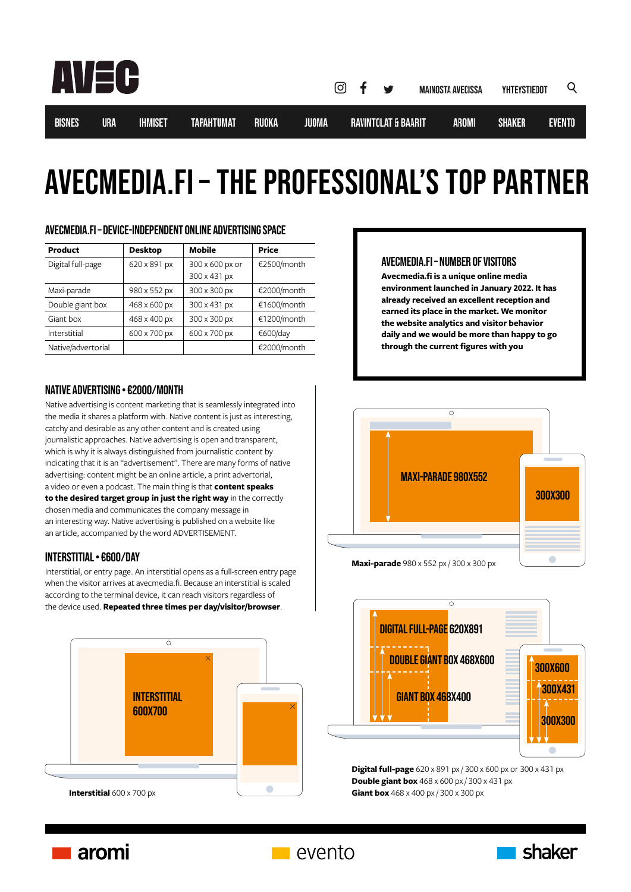

**BISNES** 

# avecmedia.fi – THE PROFESSIONAL'S TOP PARTNER

| <b>Product</b>     | <b>Desktop</b> | Mobile                          | <b>Price</b> |
|--------------------|----------------|---------------------------------|--------------|
| Digital full-page  | 620 x 891 px   | 300 x 600 px or<br>300 x 431 px | €2500/month  |
| Maxi-parade        | 980 x 552 px   | 300 x 300 px                    | €2000/month  |
| Double giant box   | 468 x 600 px   | 300 x 431 px                    | €1600/month  |
| Giant box          | 468 x 400 px   | 300 x 300 px                    | €1200/month  |
| Interstitial       | 600 x 700 px   | 600 x 700 px                    | €600/day     |
| Native/advertorial |                |                                 | €2000/month  |

# AVECMEDIA.FI – DEVICE-INDEPENDENT ONLINE ADVERTISING SPACE

# NATIVE ADVERTISING • €2000/MONTH

Native advertising is content marketing that is seamlessly integrated into the media it shares a platform with. Native content is just as interesting, catchy and desirable as any other content and is created using journalistic approaches. Native advertising is open and transparent, which is why it is always distinguished from journalistic content by indicating that it is an "advertisement". There are many forms of native advertising: content might be an online article, a print advertorial, a video or even a podcast. The main thing is that **content speaks to the desired target group in just the right way** in the correctly chosen media and communicates the company message in an interesting way. Native advertising is published on a website like an article, accompanied by the word ADVERTISEMENT.

# INTERSTITIAL • €600/DAY

Interstitial, or entry page. An interstitial opens as a full-screen entry page when the visitor arrives at avecmedia.fi. Because an interstitial is scaled according to the terminal device, it can reach visitors regardless of the device used. **Repeated three times per day/visitor/browser**.



# AVECMEDIA.FI – NUMBER OF VISITORS

**Avecmedia.fi is a unique online media environment launched in January 2022. It has already received an excellent reception and earned its place in the market. We monitor the website analytics and visitor behavior daily and we would be more than happy to go through the current figures with you**





**Double giant box** 468 x 600 px / 300 x 431 px **Digital full-page** 620 x 891 px / 300 x 600 px or 300 x 431 px **Giant box**  $468 \times 400$  px / 300 x 300 px



**Nevento**